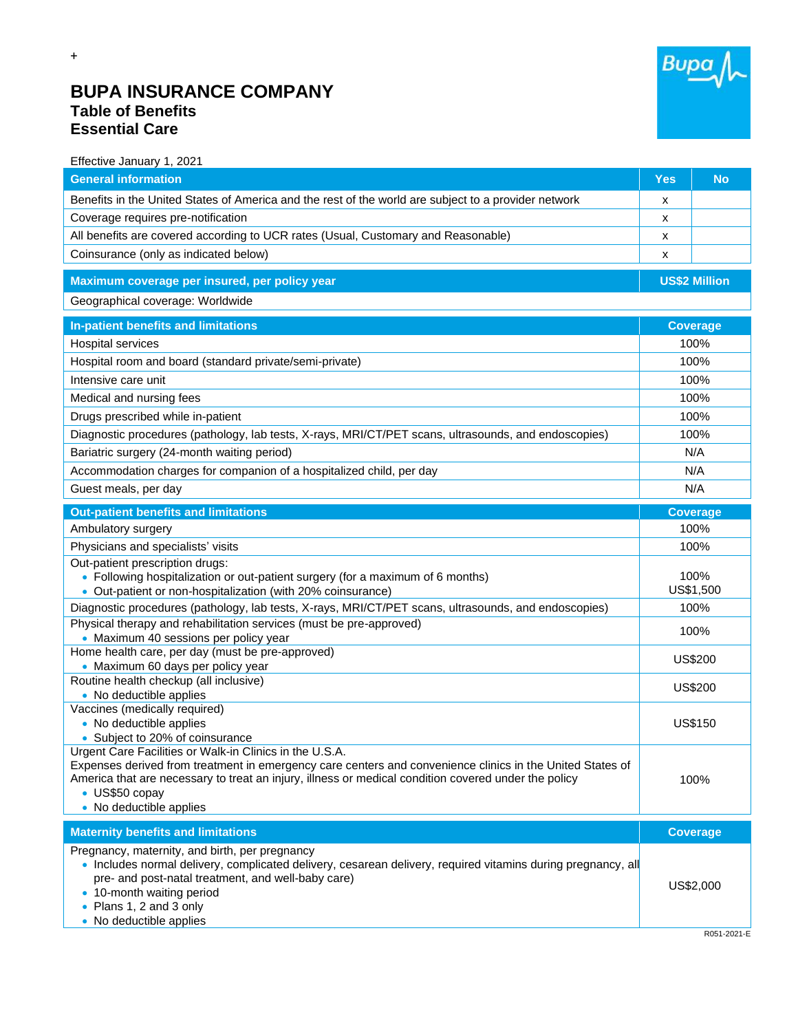

## **BUPA INSURANCE COMPANY Table of Benefits Essential Care**

+

| Effective January 1, 2021                                                                                                                                                                                                                                                                                                 |                      |                   |
|---------------------------------------------------------------------------------------------------------------------------------------------------------------------------------------------------------------------------------------------------------------------------------------------------------------------------|----------------------|-------------------|
| <b>General information</b>                                                                                                                                                                                                                                                                                                | <b>Yes</b>           | <b>No</b>         |
| Benefits in the United States of America and the rest of the world are subject to a provider network                                                                                                                                                                                                                      | x                    |                   |
| Coverage requires pre-notification                                                                                                                                                                                                                                                                                        | x                    |                   |
| All benefits are covered according to UCR rates (Usual, Customary and Reasonable)                                                                                                                                                                                                                                         | x                    |                   |
| Coinsurance (only as indicated below)                                                                                                                                                                                                                                                                                     | x                    |                   |
| Maximum coverage per insured, per policy year                                                                                                                                                                                                                                                                             | <b>US\$2 Million</b> |                   |
| Geographical coverage: Worldwide                                                                                                                                                                                                                                                                                          |                      |                   |
| In-patient benefits and limitations                                                                                                                                                                                                                                                                                       | <b>Coverage</b>      |                   |
| Hospital services                                                                                                                                                                                                                                                                                                         | 100%                 |                   |
| Hospital room and board (standard private/semi-private)                                                                                                                                                                                                                                                                   | 100%                 |                   |
| Intensive care unit                                                                                                                                                                                                                                                                                                       | 100%                 |                   |
| Medical and nursing fees                                                                                                                                                                                                                                                                                                  | 100%                 |                   |
| Drugs prescribed while in-patient                                                                                                                                                                                                                                                                                         | 100%                 |                   |
| Diagnostic procedures (pathology, lab tests, X-rays, MRI/CT/PET scans, ultrasounds, and endoscopies)                                                                                                                                                                                                                      | 100%                 |                   |
| Bariatric surgery (24-month waiting period)                                                                                                                                                                                                                                                                               | N/A                  |                   |
| Accommodation charges for companion of a hospitalized child, per day                                                                                                                                                                                                                                                      | N/A                  |                   |
| Guest meals, per day                                                                                                                                                                                                                                                                                                      |                      | N/A               |
| <b>Out-patient benefits and limitations</b>                                                                                                                                                                                                                                                                               |                      | <b>Coverage</b>   |
| Ambulatory surgery                                                                                                                                                                                                                                                                                                        | 100%                 |                   |
| Physicians and specialists' visits                                                                                                                                                                                                                                                                                        | 100%                 |                   |
| Out-patient prescription drugs:<br>• Following hospitalization or out-patient surgery (for a maximum of 6 months)<br>• Out-patient or non-hospitalization (with 20% coinsurance)                                                                                                                                          |                      | 100%<br>US\$1,500 |
| Diagnostic procedures (pathology, lab tests, X-rays, MRI/CT/PET scans, ultrasounds, and endoscopies)                                                                                                                                                                                                                      | 100%                 |                   |
| Physical therapy and rehabilitation services (must be pre-approved)<br>• Maximum 40 sessions per policy year                                                                                                                                                                                                              | 100%                 |                   |
| Home health care, per day (must be pre-approved)<br>• Maximum 60 days per policy year                                                                                                                                                                                                                                     | <b>US\$200</b>       |                   |
| Routine health checkup (all inclusive)<br>• No deductible applies                                                                                                                                                                                                                                                         | <b>US\$200</b>       |                   |
| Vaccines (medically required)<br>• No deductible applies<br>• Subject to 20% of coinsurance                                                                                                                                                                                                                               |                      | <b>US\$150</b>    |
| Urgent Care Facilities or Walk-in Clinics in the U.S.A.<br>Expenses derived from treatment in emergency care centers and convenience clinics in the United States of<br>America that are necessary to treat an injury, illness or medical condition covered under the policy<br>• US\$50 copay<br>• No deductible applies |                      | 100%              |
| <b>Maternity benefits and limitations</b>                                                                                                                                                                                                                                                                                 |                      | <b>Coverage</b>   |
| Pregnancy, maternity, and birth, per pregnancy<br>· Includes normal delivery, complicated delivery, cesarean delivery, required vitamins during pregnancy, all<br>pre- and post-natal treatment, and well-baby care)<br>• 10-month waiting period<br>Plans 1, 2 and 3 only<br>• No deductible applies                     |                      | US\$2,000         |
|                                                                                                                                                                                                                                                                                                                           |                      | R051-2021-F       |